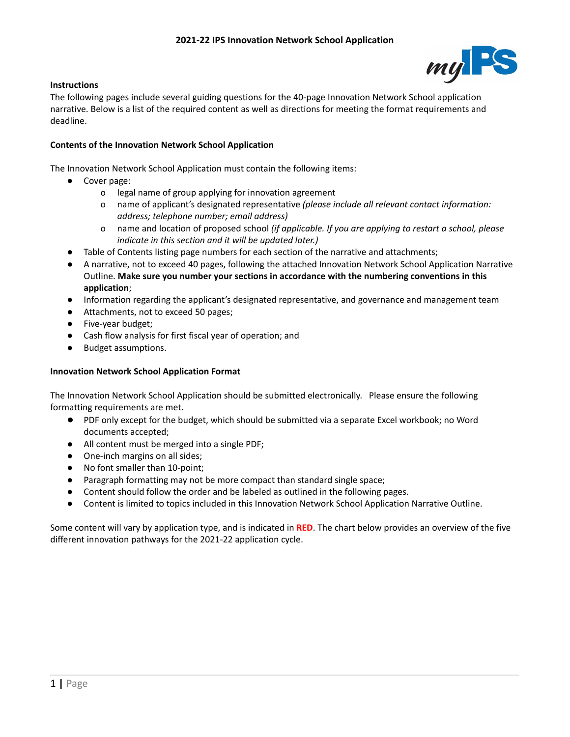

## **Instructions**

The following pages include several guiding questions for the 40-page Innovation Network School application narrative. Below is a list of the required content as well as directions for meeting the format requirements and deadline.

## **Contents of the Innovation Network School Application**

The Innovation Network School Application must contain the following items:

- Cover page:
	- o legal name of group applying for innovation agreement
	- o name of applicant's designated representative *(please include all relevant contact information: address; telephone number; email address)*
	- o name and location of proposed school *(if applicable. If you are applying to restart a school, please indicate in this section and it will be updated later.)*
- Table of Contents listing page numbers for each section of the narrative and attachments;
- A narrative, not to exceed 40 pages, following the attached Innovation Network School Application Narrative Outline. **Make sure you number your sections in accordance with the numbering conventions in this application**;
- Information regarding the applicant's designated representative, and governance and management team
- Attachments, not to exceed 50 pages;
- Five-year budget;
- Cash flow analysis for first fiscal year of operation; and
- Budget assumptions.

## **Innovation Network School Application Format**

The Innovation Network School Application should be submitted electronically. Please ensure the following formatting requirements are met.

- PDF only except for the budget, which should be submitted via a separate Excel workbook; no Word documents accepted;
- All content must be merged into a single PDF;
- One-inch margins on all sides;
- No font smaller than 10-point;
- Paragraph formatting may not be more compact than standard single space;
- Content should follow the order and be labeled as outlined in the following pages.
- Content is limited to topics included in this Innovation Network School Application Narrative Outline.

Some content will vary by application type, and is indicated in **RED**. The chart below provides an overview of the five different innovation pathways for the 2021-22 application cycle.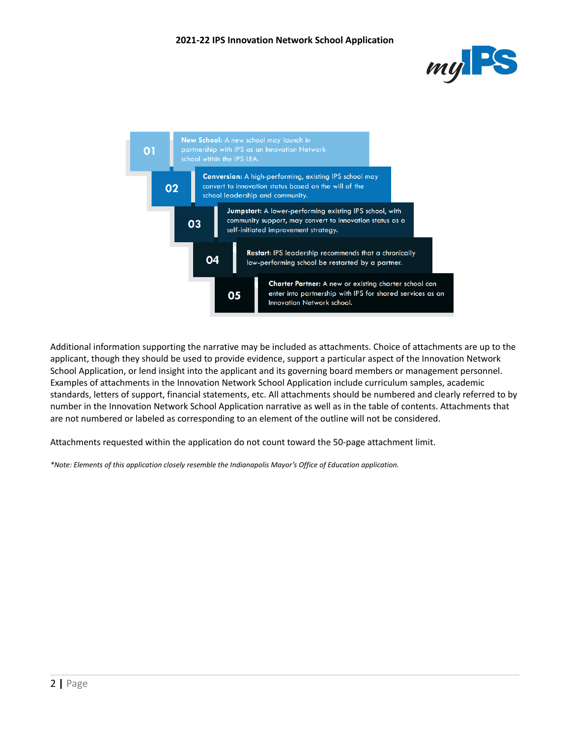



Additional information supporting the narrative may be included as attachments. Choice of attachments are up to the applicant, though they should be used to provide evidence, support a particular aspect of the Innovation Network School Application, or lend insight into the applicant and its governing board members or management personnel. Examples of attachments in the Innovation Network School Application include curriculum samples, academic standards, letters of support, financial statements, etc. All attachments should be numbered and clearly referred to by number in the Innovation Network School Application narrative as well as in the table of contents. Attachments that are not numbered or labeled as corresponding to an element of the outline will not be considered.

Attachments requested within the application do not count toward the 50-page attachment limit.

*\*Note: Elements of this application closely resemble the Indianapolis Mayor's Office of Education application.*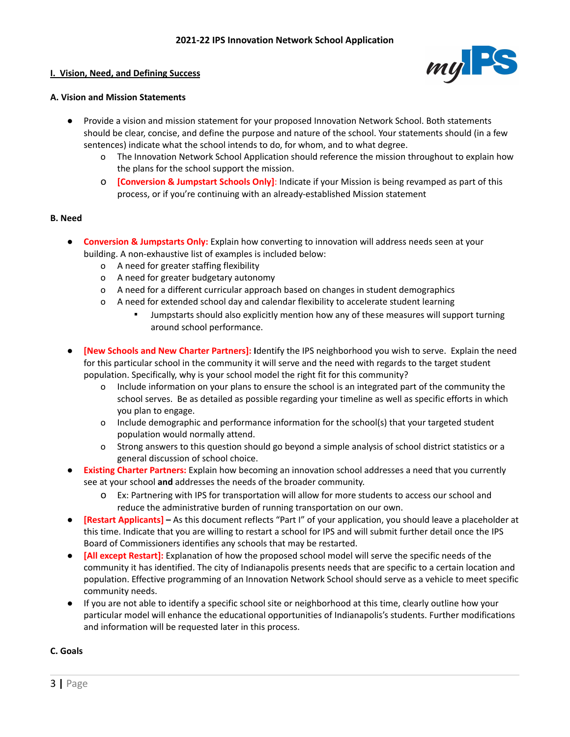## **I. Vision, Need, and Defining Success**



## **A. Vision and Mission Statements**

- Provide a vision and mission statement for your proposed Innovation Network School. Both statements should be clear, concise, and define the purpose and nature of the school. Your statements should (in a few sentences) indicate what the school intends to do, for whom, and to what degree.
	- o The Innovation Network School Application should reference the mission throughout to explain how the plans for the school support the mission.
	- o **[Conversion & Jumpstart Schools Only]**: Indicate if your Mission is being revamped as part of this process, or if you're continuing with an already-established Mission statement

## **B. Need**

- **Conversion & Jumpstarts Only:** Explain how converting to innovation will address needs seen at your building. A non-exhaustive list of examples is included below:
	- o A need for greater staffing flexibility
	- o A need for greater budgetary autonomy
	- o A need for a different curricular approach based on changes in student demographics
	- o A need for extended school day and calendar flexibility to accelerate student learning
		- Jumpstarts should also explicitly mention how any of these measures will support turning around school performance.
- **[New Schools and New Charter Partners]: I**dentify the IPS neighborhood you wish to serve. Explain the need for this particular school in the community it will serve and the need with regards to the target student population. Specifically, why is your school model the right fit for this community?
	- o Include information on your plans to ensure the school is an integrated part of the community the school serves. Be as detailed as possible regarding your timeline as well as specific efforts in which you plan to engage.
	- o Include demographic and performance information for the school(s) that your targeted student population would normally attend.
	- o Strong answers to this question should go beyond a simple analysis of school district statistics or a general discussion of school choice.
- **Existing Charter Partners:** Explain how becoming an innovation school addresses a need that you currently see at your school **and** addresses the needs of the broader community.
	- o Ex: Partnering with IPS for transportation will allow for more students to access our school and reduce the administrative burden of running transportation on our own.
- **[Restart Applicants] –** As this document reflects "Part I" of your application, you should leave a placeholder at this time. Indicate that you are willing to restart a school for IPS and will submit further detail once the IPS Board of Commissioners identifies any schools that may be restarted.
- **[All except Restart]:** Explanation of how the proposed school model will serve the specific needs of the community it has identified. The city of Indianapolis presents needs that are specific to a certain location and population. Effective programming of an Innovation Network School should serve as a vehicle to meet specific community needs.
- If you are not able to identify a specific school site or neighborhood at this time, clearly outline how your particular model will enhance the educational opportunities of Indianapolis's students. Further modifications and information will be requested later in this process.

## **C. Goals**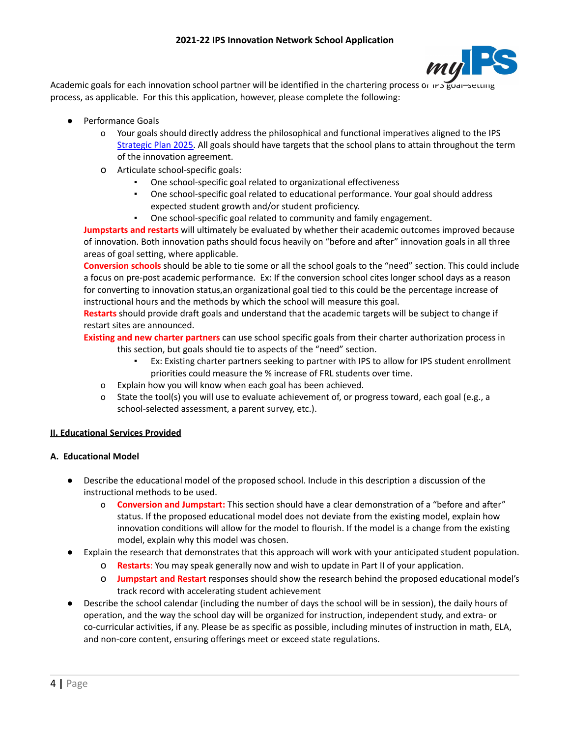

Academic goals for each innovation school partner will be identified in the chartering process or IP process, as applicable. For this this application, however, please complete the following:

- **Performance Goals** 
	- o Your goals should directly address the philosophical and functional imperatives aligned to the IPS [Strategic Plan 2025.](https://myips.org/strategic-plan-2025/) All goals should have targets that the school plans to attain throughout the term of the innovation agreement.
	- o Articulate school-specific goals:
		- One school-specific goal related to organizational effectiveness
		- One school-specific goal related to educational performance. Your goal should address expected student growth and/or student proficiency.
		- One school-specific goal related to community and family engagement.

**Jumpstarts and restarts** will ultimately be evaluated by whether their academic outcomes improved because of innovation. Both innovation paths should focus heavily on "before and after" innovation goals in all three areas of goal setting, where applicable.

**Conversion schools** should be able to tie some or all the school goals to the "need" section. This could include a focus on pre-post academic performance. Ex: If the conversion school cites longer school days as a reason for converting to innovation status,an organizational goal tied to this could be the percentage increase of instructional hours and the methods by which the school will measure this goal.

**Restarts** should provide draft goals and understand that the academic targets will be subject to change if restart sites are announced.

**Existing and new charter partners** can use school specific goals from their charter authorization process in

- this section, but goals should tie to aspects of the "need" section.
	- Ex: Existing charter partners seeking to partner with IPS to allow for IPS student enrollment priorities could measure the % increase of FRL students over time.
- o Explain how you will know when each goal has been achieved.
- o State the tool(s) you will use to evaluate achievement of, or progress toward, each goal (e.g., a school-selected assessment, a parent survey, etc.).

# **II. Educational Services Provided**

# **A. Educational Model**

- Describe the educational model of the proposed school. Include in this description a discussion of the instructional methods to be used.
	- o **Conversion and Jumpstart:** This section should have a clear demonstration of a "before and after" status. If the proposed educational model does not deviate from the existing model, explain how innovation conditions will allow for the model to flourish. If the model is a change from the existing model, explain why this model was chosen.
- Explain the research that demonstrates that this approach will work with your anticipated student population.
	- o **Restarts**: You may speak generally now and wish to update in Part II of your application.
	- o **Jumpstart and Restart** responses should show the research behind the proposed educational model's track record with accelerating student achievement
- Describe the school calendar (including the number of days the school will be in session), the daily hours of operation, and the way the school day will be organized for instruction, independent study, and extra- or co-curricular activities, if any. Please be as specific as possible, including minutes of instruction in math, ELA, and non-core content, ensuring offerings meet or exceed state regulations.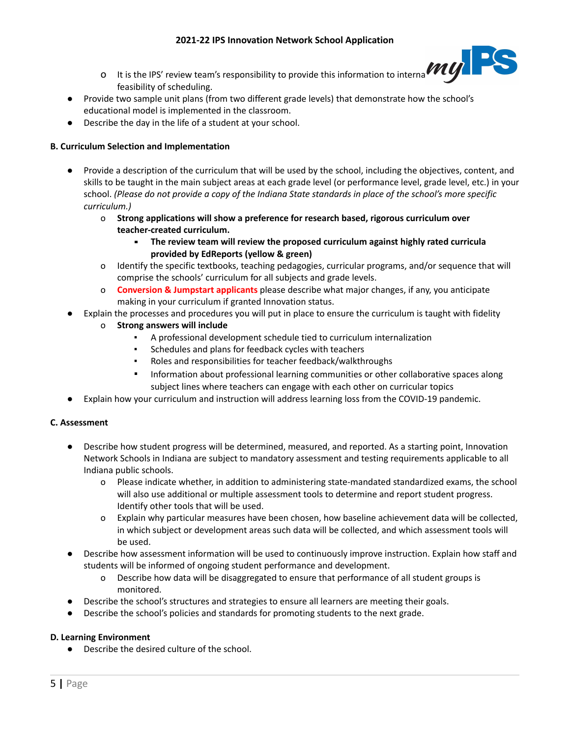- o It is the IPS' review team's responsibility to provide this information to internal teams to assess feasibility of scheduling.
- Provide two sample unit plans (from two different grade levels) that demonstrate how the school's educational model is implemented in the classroom.
- Describe the day in the life of a student at your school.

# **B. Curriculum Selection and Implementation**

- Provide a description of the curriculum that will be used by the school, including the objectives, content, and skills to be taught in the main subject areas at each grade level (or performance level, grade level, etc.) in your school. *(Please do not provide a copy of the Indiana State standards in place of the school's more specific curriculum.)*
	- o **Strong applications will show a preference for research based, rigorous curriculum over teacher-created curriculum.**
		- **The review team will review the proposed curriculum against highly rated curricula provided by EdReports (yellow & green)**
	- o Identify the specific textbooks, teaching pedagogies, curricular programs, and/or sequence that will comprise the schools' curriculum for all subjects and grade levels.
	- o **Conversion & Jumpstart applicants** please describe what major changes, if any, you anticipate making in your curriculum if granted Innovation status.
- Explain the processes and procedures you will put in place to ensure the curriculum is taught with fidelity
	- o **Strong answers will include**
		- A professional development schedule tied to curriculum internalization
			- Schedules and plans for feedback cycles with teachers
			- Roles and responsibilities for teacher feedback/walkthroughs
			- Information about professional learning communities or other collaborative spaces along subject lines where teachers can engage with each other on curricular topics
- Explain how your curriculum and instruction will address learning loss from the COVID-19 pandemic.

# **C. Assessment**

- Describe how student progress will be determined, measured, and reported. As a starting point, Innovation Network Schools in Indiana are subject to mandatory assessment and testing requirements applicable to all Indiana public schools.
	- o Please indicate whether, in addition to administering state-mandated standardized exams, the school will also use additional or multiple assessment tools to determine and report student progress. Identify other tools that will be used.
	- o Explain why particular measures have been chosen, how baseline achievement data will be collected, in which subject or development areas such data will be collected, and which assessment tools will be used.
- Describe how assessment information will be used to continuously improve instruction. Explain how staff and students will be informed of ongoing student performance and development.
	- o Describe how data will be disaggregated to ensure that performance of all student groups is monitored.
- Describe the school's structures and strategies to ensure all learners are meeting their goals.
- Describe the school's policies and standards for promoting students to the next grade.

# **D. Learning Environment**

● Describe the desired culture of the school.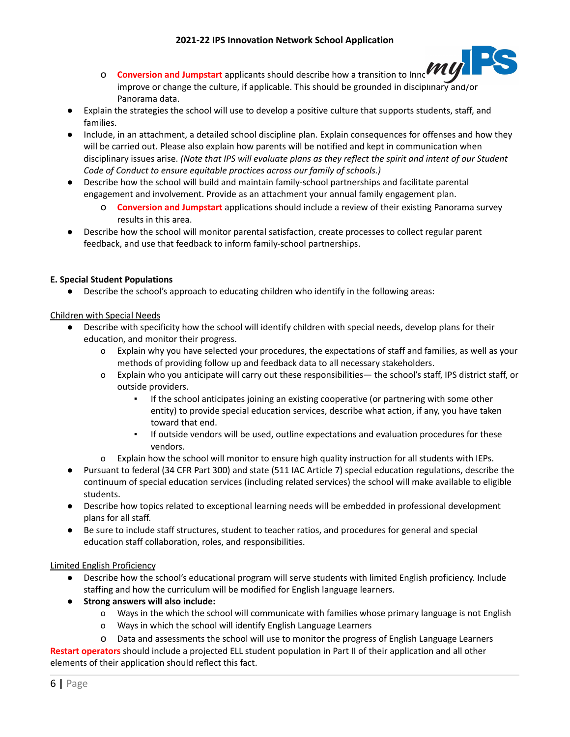

- **O Conversion and Jumpstart** applicants should describe how a transition to Innc<sup>yvey</sup> improve or change the culture, if applicable. This should be grounded in disciplinary and/or Panorama data.
- **●** Explain the strategies the school will use to develop a positive culture that supports students, staff, and families.
- Include, in an attachment, a detailed school discipline plan. Explain consequences for offenses and how they will be carried out. Please also explain how parents will be notified and kept in communication when disciplinary issues arise. *(Note that IPS will evaluate plans as they reflect the spirit and intent of our Student Code of Conduct to ensure equitable practices across our family of schools.)*
- Describe how the school will build and maintain family-school partnerships and facilitate parental engagement and involvement. Provide as an attachment your annual family engagement plan.
	- o **Conversion and Jumpstart** applications should include a review of their existing Panorama survey results in this area.
- **●** Describe how the school will monitor parental satisfaction, create processes to collect regular parent feedback, and use that feedback to inform family-school partnerships.

# **E. Special Student Populations**

● Describe the school's approach to educating children who identify in the following areas:

# Children with Special Needs

- Describe with specificity how the school will identify children with special needs, develop plans for their education, and monitor their progress.
	- o Explain why you have selected your procedures, the expectations of staff and families, as well as your methods of providing follow up and feedback data to all necessary stakeholders.
	- o Explain who you anticipate will carry out these responsibilities— the school's staff, IPS district staff, or outside providers.
		- If the school anticipates joining an existing cooperative (or partnering with some other entity) to provide special education services, describe what action, if any, you have taken toward that end.
		- If outside vendors will be used, outline expectations and evaluation procedures for these vendors.
	- o Explain how the school will monitor to ensure high quality instruction for all students with IEPs.
- Pursuant to federal (34 CFR Part 300) and state (511 IAC Article 7) special education regulations, describe the continuum of special education services (including related services) the school will make available to eligible students.
- Describe how topics related to exceptional learning needs will be embedded in professional development plans for all staff.
- Be sure to include staff structures, student to teacher ratios, and procedures for general and special education staff collaboration, roles, and responsibilities.

# Limited English Proficiency

- Describe how the school's educational program will serve students with limited English proficiency. Include staffing and how the curriculum will be modified for English language learners.
- **Strong answers will also include:**
	- o Ways in the which the school will communicate with families whose primary language is not English
	- o Ways in which the school will identify English Language Learners
	- o Data and assessments the school will use to monitor the progress of English Language Learners

**Restart operators** should include a projected ELL student population in Part II of their application and all other elements of their application should reflect this fact.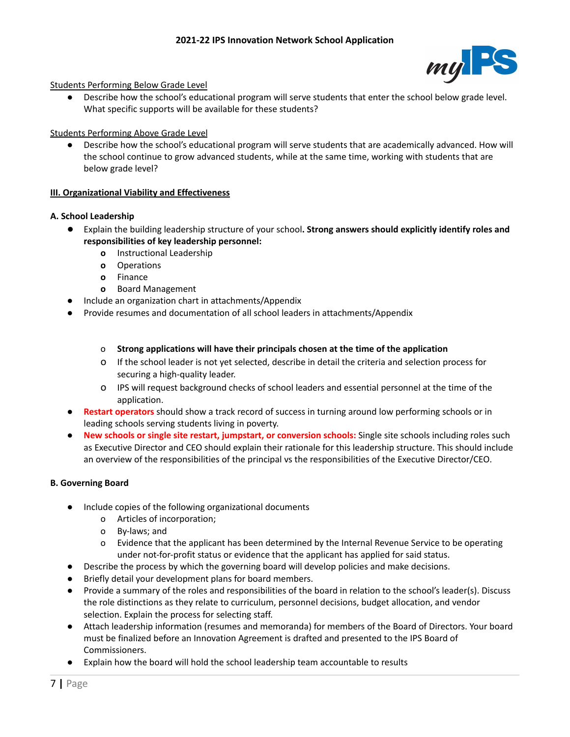

# Students Performing Below Grade Level

● Describe how the school's educational program will serve students that enter the school below grade level. What specific supports will be available for these students?

# Students Performing Above Grade Level

Describe how the school's educational program will serve students that are academically advanced. How will the school continue to grow advanced students, while at the same time, working with students that are below grade level?

# **III. Organizational Viability and Effectiveness**

## **A. School Leadership**

- Explain the building leadership structure of your school**. Strong answers should explicitly identify roles and responsibilities of key leadership personnel:**
	- **o** Instructional Leadership
	- **o** Operations
	- **o** Finance
	- **o** Board Management
- Include an organization chart in attachments/Appendix
- **●** Provide resumes and documentation of all school leaders in attachments/Appendix

## o **Strong applications will have their principals chosen at the time of the application**

- o If the school leader is not yet selected, describe in detail the criteria and selection process for securing a high-quality leader.
- o IPS will request background checks of school leaders and essential personnel at the time of the application.
- **● Restart operators** should show a track record of success in turning around low performing schools or in leading schools serving students living in poverty.
- **● New schools or single site restart, jumpstart, or conversion schools:** Single site schools including roles such as Executive Director and CEO should explain their rationale for this leadership structure. This should include an overview of the responsibilities of the principal vs the responsibilities of the Executive Director/CEO.

## **B. Governing Board**

- Include copies of the following organizational documents
	- o Articles of incorporation;
	- o By-laws; and
	- o Evidence that the applicant has been determined by the Internal Revenue Service to be operating under not-for-profit status or evidence that the applicant has applied for said status.
- Describe the process by which the governing board will develop policies and make decisions.
- Briefly detail your development plans for board members.
- Provide a summary of the roles and responsibilities of the board in relation to the school's leader(s). Discuss the role distinctions as they relate to curriculum, personnel decisions, budget allocation, and vendor selection. Explain the process for selecting staff.
- Attach leadership information (resumes and memoranda) for members of the Board of Directors. Your board must be finalized before an Innovation Agreement is drafted and presented to the IPS Board of Commissioners.
- Explain how the board will hold the school leadership team accountable to results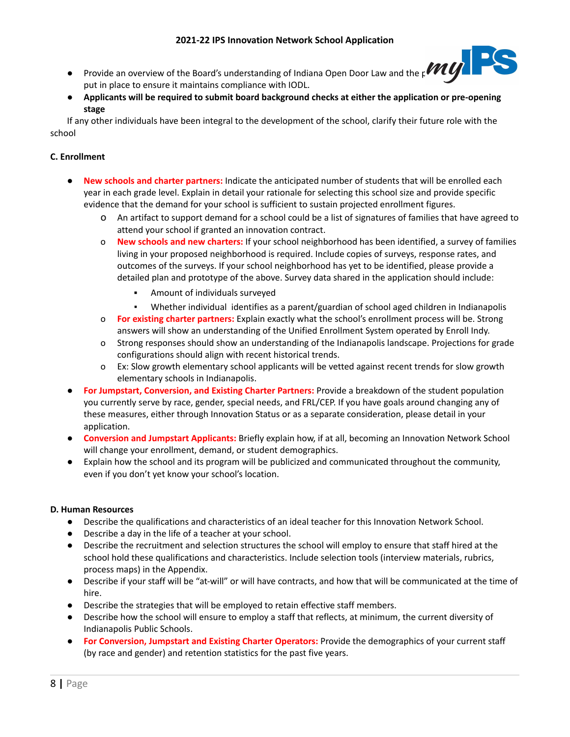- **•** Provide an overview of the Board's understanding of Indiana Open Door Law and the  $p$ **VIII** put in place to ensure it maintains compliance with IODL.
- **Applicants will be required to submit board background checks at either the application or pre-opening stage**

If any other individuals have been integral to the development of the school, clarify their future role with the school

# **C. Enrollment**

- **New schools and charter partners:** Indicate the anticipated number of students that will be enrolled each year in each grade level. Explain in detail your rationale for selecting this school size and provide specific evidence that the demand for your school is sufficient to sustain projected enrollment figures.
	- o An artifact to support demand for a school could be a list of signatures of families that have agreed to attend your school if granted an innovation contract.
	- o **New schools and new charters:** If your school neighborhood has been identified, a survey of families living in your proposed neighborhood is required. Include copies of surveys, response rates, and outcomes of the surveys. If your school neighborhood has yet to be identified, please provide a detailed plan and prototype of the above. Survey data shared in the application should include:
		- Amount of individuals surveyed
		- Whether individual identifies as a parent/guardian of school aged children in Indianapolis
	- o **For existing charter partners:** Explain exactly what the school's enrollment process will be. Strong answers will show an understanding of the Unified Enrollment System operated by Enroll Indy.
	- o Strong responses should show an understanding of the Indianapolis landscape. Projections for grade configurations should align with recent historical trends.
	- o Ex: Slow growth elementary school applicants will be vetted against recent trends for slow growth elementary schools in Indianapolis.
- **For Jumpstart, Conversion, and Existing Charter Partners:** Provide a breakdown of the student population you currently serve by race, gender, special needs, and FRL/CEP. If you have goals around changing any of these measures, either through Innovation Status or as a separate consideration, please detail in your application.
- **Conversion and Jumpstart Applicants:** Briefly explain how, if at all, becoming an Innovation Network School will change your enrollment, demand, or student demographics.
- Explain how the school and its program will be publicized and communicated throughout the community, even if you don't yet know your school's location.

# **D. Human Resources**

- Describe the qualifications and characteristics of an ideal teacher for this Innovation Network School.
- Describe a day in the life of a teacher at your school.
- Describe the recruitment and selection structures the school will employ to ensure that staff hired at the school hold these qualifications and characteristics. Include selection tools (interview materials, rubrics, process maps) in the Appendix.
- Describe if your staff will be "at-will" or will have contracts, and how that will be communicated at the time of hire.
- Describe the strategies that will be employed to retain effective staff members.
- Describe how the school will ensure to employ a staff that reflects, at minimum, the current diversity of Indianapolis Public Schools.
- **For Conversion, Jumpstart and Existing Charter Operators:** Provide the demographics of your current staff (by race and gender) and retention statistics for the past five years.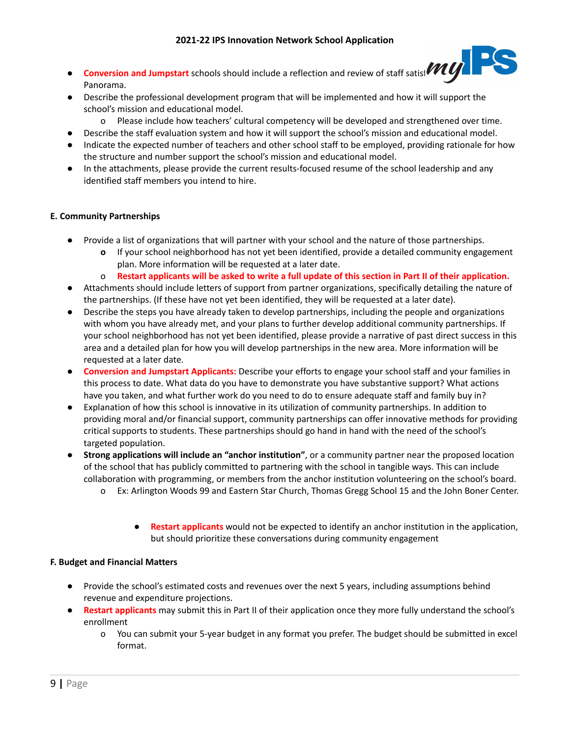- **Conversion and Jumpstart** schools should include a reflection and review of staff satisf**action** Panorama.
- Describe the professional development program that will be implemented and how it will support the school's mission and educational model.
	- o Please include how teachers' cultural competency will be developed and strengthened over time.
- Describe the staff evaluation system and how it will support the school's mission and educational model.
- Indicate the expected number of teachers and other school staff to be employed, providing rationale for how the structure and number support the school's mission and educational model.
- In the attachments, please provide the current results-focused resume of the school leadership and any identified staff members you intend to hire.

# **E. Community Partnerships**

- Provide a list of organizations that will partner with your school and the nature of those partnerships.
	- **o** If your school neighborhood has not yet been identified, provide a detailed community engagement plan. More information will be requested at a later date.
	- o **Restart applicants will be asked to write a full update of this section in Part II of their application.**
- Attachments should include letters of support from partner organizations, specifically detailing the nature of the partnerships. (If these have not yet been identified, they will be requested at a later date).
- Describe the steps you have already taken to develop partnerships, including the people and organizations with whom you have already met, and your plans to further develop additional community partnerships. If your school neighborhood has not yet been identified, please provide a narrative of past direct success in this area and a detailed plan for how you will develop partnerships in the new area. More information will be requested at a later date.
- **Conversion and Jumpstart Applicants:** Describe your efforts to engage your school staff and your families in this process to date. What data do you have to demonstrate you have substantive support? What actions have you taken, and what further work do you need to do to ensure adequate staff and family buy in?
- Explanation of how this school is innovative in its utilization of community partnerships. In addition to providing moral and/or financial support, community partnerships can offer innovative methods for providing critical supports to students. These partnerships should go hand in hand with the need of the school's targeted population.
- **Strong applications will include an "anchor institution"**, or a community partner near the proposed location of the school that has publicly committed to partnering with the school in tangible ways. This can include collaboration with programming, or members from the anchor institution volunteering on the school's board.
	- o Ex: Arlington Woods 99 and Eastern Star Church, Thomas Gregg School 15 and the John Boner Center.
		- **Restart applicants** would not be expected to identify an anchor institution in the application, but should prioritize these conversations during community engagement

## **F. Budget and Financial Matters**

- **●** Provide the school's estimated costs and revenues over the next 5 years, including assumptions behind revenue and expenditure projections.
- **Restart applicants** may submit this in Part II of their application once they more fully understand the school's enrollment
	- o You can submit your 5-year budget in any format you prefer. The budget should be submitted in excel format.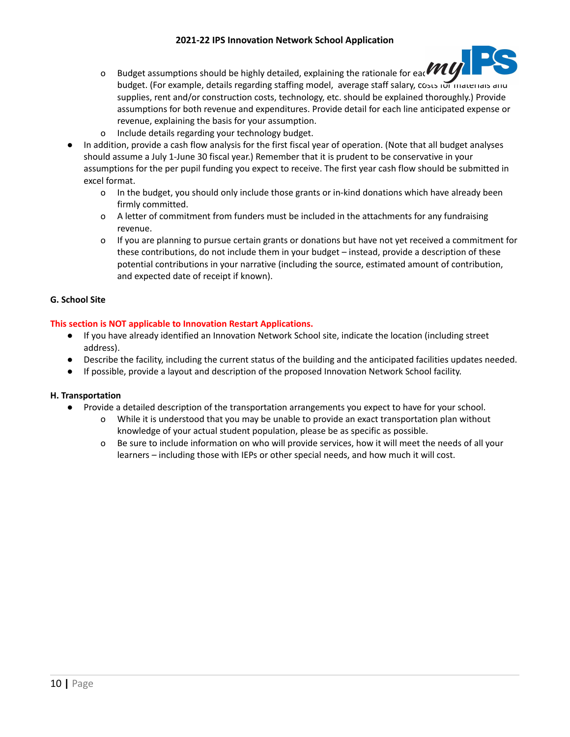# **2021-22 IPS Innovation Network School Application**



- o Budget assumptions should be highly detailed, explaining the rationale for eac $V\cdot U$ budget. (For example, details regarding staffing model, average staff salary, costs for materials and supplies, rent and/or construction costs, technology, etc. should be explained thoroughly.) Provide assumptions for both revenue and expenditures. Provide detail for each line anticipated expense or revenue, explaining the basis for your assumption.
- o Include details regarding your technology budget.
- In addition, provide a cash flow analysis for the first fiscal year of operation. (Note that all budget analyses should assume a July 1-June 30 fiscal year.) Remember that it is prudent to be conservative in your assumptions for the per pupil funding you expect to receive. The first year cash flow should be submitted in excel format.
	- o In the budget, you should only include those grants or in-kind donations which have already been firmly committed.
	- o A letter of commitment from funders must be included in the attachments for any fundraising revenue.
	- o If you are planning to pursue certain grants or donations but have not yet received a commitment for these contributions, do not include them in your budget – instead, provide a description of these potential contributions in your narrative (including the source, estimated amount of contribution, and expected date of receipt if known).

# **G. School Site**

# **This section is NOT applicable to Innovation Restart Applications.**

- If you have already identified an Innovation Network School site, indicate the location (including street address).
- Describe the facility, including the current status of the building and the anticipated facilities updates needed.
- If possible, provide a layout and description of the proposed Innovation Network School facility.

## **H. Transportation**

- Provide a detailed description of the transportation arrangements you expect to have for your school.
	- o While it is understood that you may be unable to provide an exact transportation plan without knowledge of your actual student population, please be as specific as possible.
	- o Be sure to include information on who will provide services, how it will meet the needs of all your learners – including those with IEPs or other special needs, and how much it will cost.